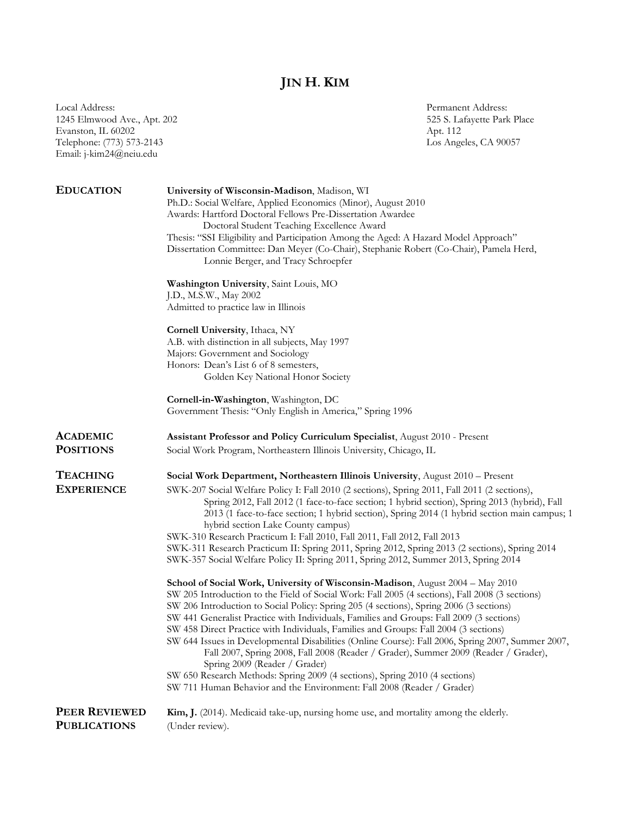## **JIN H. KIM**

Local Address: Permanent Address: 1245 Elmwood Ave., Apt. 202 525 S. Lafayette Park Place Evanston, IL 60202 Apt. 112 Telephone: (773) 573-2143 Los Angeles, CA 90057 Email: j-kim24@neiu.edu

| <b>EDUCATION</b>                     | University of Wisconsin-Madison, Madison, WI<br>Ph.D.: Social Welfare, Applied Economics (Minor), August 2010<br>Awards: Hartford Doctoral Fellows Pre-Dissertation Awardee<br>Doctoral Student Teaching Excellence Award<br>Thesis: "SSI Eligibility and Participation Among the Aged: A Hazard Model Approach"<br>Dissertation Committee: Dan Meyer (Co-Chair), Stephanie Robert (Co-Chair), Pamela Herd,<br>Lonnie Berger, and Tracy Schroepfer<br>Washington University, Saint Louis, MO<br>J.D., M.S.W., May 2002<br>Admitted to practice law in Illinois<br>Cornell University, Ithaca, NY<br>A.B. with distinction in all subjects, May 1997<br>Majors: Government and Sociology<br>Honors: Dean's List 6 of 8 semesters,<br>Golden Key National Honor Society<br>Cornell-in-Washington, Washington, DC<br>Government Thesis: "Only English in America," Spring 1996                                                                                                                                                                                                |
|--------------------------------------|----------------------------------------------------------------------------------------------------------------------------------------------------------------------------------------------------------------------------------------------------------------------------------------------------------------------------------------------------------------------------------------------------------------------------------------------------------------------------------------------------------------------------------------------------------------------------------------------------------------------------------------------------------------------------------------------------------------------------------------------------------------------------------------------------------------------------------------------------------------------------------------------------------------------------------------------------------------------------------------------------------------------------------------------------------------------------|
|                                      |                                                                                                                                                                                                                                                                                                                                                                                                                                                                                                                                                                                                                                                                                                                                                                                                                                                                                                                                                                                                                                                                            |
| <b>ACADEMIC</b>                      | Assistant Professor and Policy Curriculum Specialist, August 2010 - Present                                                                                                                                                                                                                                                                                                                                                                                                                                                                                                                                                                                                                                                                                                                                                                                                                                                                                                                                                                                                |
| <b>POSITIONS</b>                     | Social Work Program, Northeastern Illinois University, Chicago, IL                                                                                                                                                                                                                                                                                                                                                                                                                                                                                                                                                                                                                                                                                                                                                                                                                                                                                                                                                                                                         |
| <b>TEACHING</b><br><b>EXPERIENCE</b> | Social Work Department, Northeastern Illinois University, August 2010 - Present<br>SWK-207 Social Welfare Policy I: Fall 2010 (2 sections), Spring 2011, Fall 2011 (2 sections),<br>Spring 2012, Fall 2012 (1 face-to-face section; 1 hybrid section), Spring 2013 (hybrid), Fall<br>2013 (1 face-to-face section; 1 hybrid section), Spring 2014 (1 hybrid section main campus; 1<br>hybrid section Lake County campus)<br>SWK-310 Research Practicum I: Fall 2010, Fall 2011, Fall 2012, Fall 2013<br>SWK-311 Research Practicum II: Spring 2011, Spring 2012, Spring 2013 (2 sections), Spring 2014<br>SWK-357 Social Welfare Policy II: Spring 2011, Spring 2012, Summer 2013, Spring 2014<br>School of Social Work, University of Wisconsin-Madison, August 2004 - May 2010<br>SW 205 Introduction to the Field of Social Work: Fall 2005 (4 sections), Fall 2008 (3 sections)<br>SW 206 Introduction to Social Policy: Spring 205 (4 sections), Spring 2006 (3 sections)<br>SW 441 Generalist Practice with Individuals, Families and Groups: Fall 2009 (3 sections) |
| <b>PEER REVIEWED</b>                 | SW 458 Direct Practice with Individuals, Families and Groups: Fall 2004 (3 sections)<br>SW 644 Issues in Developmental Disabilities (Online Course): Fall 2006, Spring 2007, Summer 2007,<br>Fall 2007, Spring 2008, Fall 2008 (Reader / Grader), Summer 2009 (Reader / Grader),<br>Spring 2009 (Reader / Grader)<br>SW 650 Research Methods: Spring 2009 (4 sections), Spring 2010 (4 sections)<br>SW 711 Human Behavior and the Environment: Fall 2008 (Reader / Grader)<br>Kim, J. (2014). Medicaid take-up, nursing home use, and mortality among the elderly.                                                                                                                                                                                                                                                                                                                                                                                                                                                                                                         |
| <b>PUBLICATIONS</b>                  | (Under review).                                                                                                                                                                                                                                                                                                                                                                                                                                                                                                                                                                                                                                                                                                                                                                                                                                                                                                                                                                                                                                                            |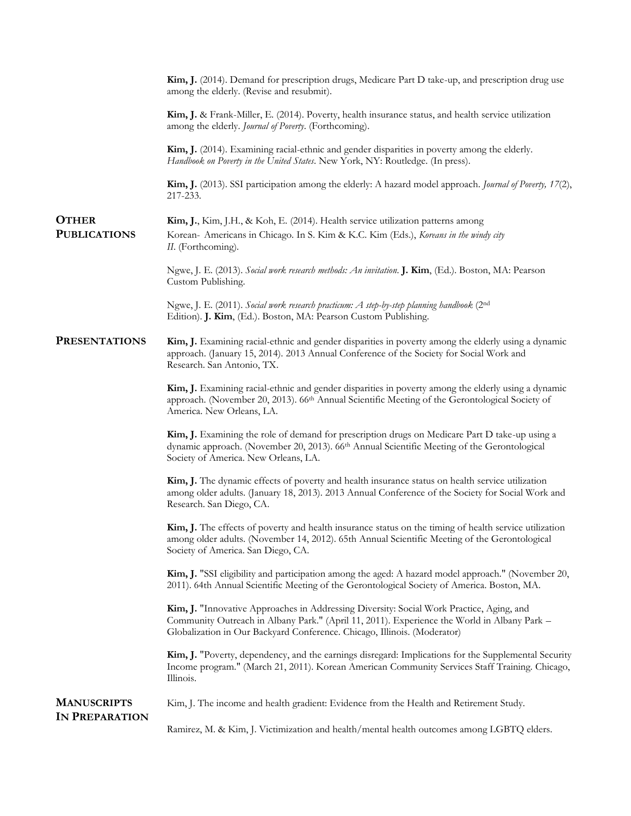|                                             | Kim, J. (2014). Demand for prescription drugs, Medicare Part D take-up, and prescription drug use<br>among the elderly. (Revise and resubmit).                                                                                                                      |
|---------------------------------------------|---------------------------------------------------------------------------------------------------------------------------------------------------------------------------------------------------------------------------------------------------------------------|
|                                             | Kim, J. & Frank-Miller, E. (2014). Poverty, health insurance status, and health service utilization<br>among the elderly. Journal of Poverty. (Forthcoming).                                                                                                        |
|                                             | Kim, J. (2014). Examining racial-ethnic and gender disparities in poverty among the elderly.<br>Handbook on Poverty in the United States. New York, NY: Routledge. (In press).                                                                                      |
|                                             | Kim, J. (2013). SSI participation among the elderly: A hazard model approach. Journal of Poverty, 17(2),<br>217-233.                                                                                                                                                |
| <b>OTHER</b>                                | Kim, J., Kim, J.H., & Koh, E. (2014). Health service utilization patterns among                                                                                                                                                                                     |
| <b>PUBLICATIONS</b>                         | Korean- Americans in Chicago. In S. Kim & K.C. Kim (Eds.), Koreans in the windy city<br>II. (Forthcoming).                                                                                                                                                          |
|                                             | Ngwe, J. E. (2013). Social work research methods: An invitation. J. Kim, (Ed.). Boston, MA: Pearson<br>Custom Publishing.                                                                                                                                           |
|                                             | Ngwe, J. E. (2011). Social work research practicum: A step-by-step planning handbook (2nd<br>Edition). J. Kim, (Ed.). Boston, MA: Pearson Custom Publishing.                                                                                                        |
| <b>PRESENTATIONS</b>                        | Kim, J. Examining racial-ethnic and gender disparities in poverty among the elderly using a dynamic<br>approach. (January 15, 2014). 2013 Annual Conference of the Society for Social Work and<br>Research. San Antonio, TX.                                        |
|                                             | Kim, J. Examining racial-ethnic and gender disparities in poverty among the elderly using a dynamic<br>approach. (November 20, 2013). 66 <sup>th</sup> Annual Scientific Meeting of the Gerontological Society of<br>America. New Orleans, LA.                      |
|                                             | Kim, J. Examining the role of demand for prescription drugs on Medicare Part D take-up using a<br>dynamic approach. (November 20, 2013). 66 <sup>th</sup> Annual Scientific Meeting of the Gerontological<br>Society of America. New Orleans, LA.                   |
|                                             | Kim, J. The dynamic effects of poverty and health insurance status on health service utilization<br>among older adults. (January 18, 2013). 2013 Annual Conference of the Society for Social Work and<br>Research. San Diego, CA.                                   |
|                                             | Kim, J. The effects of poverty and health insurance status on the timing of health service utilization<br>among older adults. (November 14, 2012). 65th Annual Scientific Meeting of the Gerontological<br>Society of America. San Diego, CA.                       |
|                                             | Kim, J. "SSI eligibility and participation among the aged: A hazard model approach." (November 20,<br>2011). 64th Annual Scientific Meeting of the Gerontological Society of America. Boston, MA.                                                                   |
|                                             | Kim, J. "Innovative Approaches in Addressing Diversity: Social Work Practice, Aging, and<br>Community Outreach in Albany Park." (April 11, 2011). Experience the World in Albany Park -<br>Globalization in Our Backyard Conference. Chicago, Illinois. (Moderator) |
|                                             | Kim, J. "Poverty, dependency, and the earnings disregard: Implications for the Supplemental Security<br>Income program." (March 21, 2011). Korean American Community Services Staff Training. Chicago,<br>Illinois.                                                 |
| <b>MANUSCRIPTS</b><br><b>IN PREPARATION</b> | Kim, J. The income and health gradient: Evidence from the Health and Retirement Study.                                                                                                                                                                              |
|                                             | Ramirez, M. & Kim, J. Victimization and health/mental health outcomes among LGBTQ elders.                                                                                                                                                                           |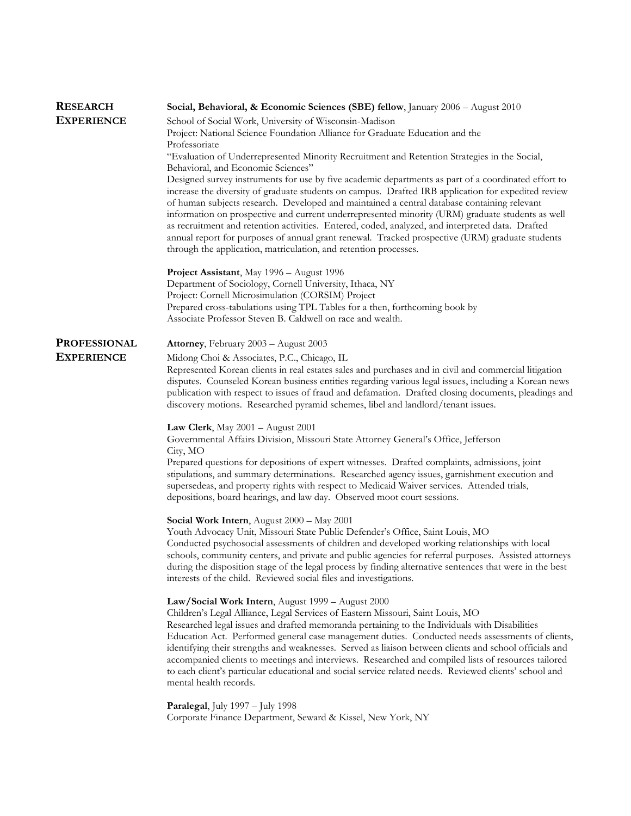| <b>RESEARCH</b>     | Social, Behavioral, & Economic Sciences (SBE) fellow, January 2006 - August 2010                                                                                                                             |
|---------------------|--------------------------------------------------------------------------------------------------------------------------------------------------------------------------------------------------------------|
| <b>EXPERIENCE</b>   | School of Social Work, University of Wisconsin-Madison                                                                                                                                                       |
|                     | Project: National Science Foundation Alliance for Graduate Education and the                                                                                                                                 |
|                     | Professoriate                                                                                                                                                                                                |
|                     | "Evaluation of Underrepresented Minority Recruitment and Retention Strategies in the Social,                                                                                                                 |
|                     | Behavioral, and Economic Sciences"                                                                                                                                                                           |
|                     | Designed survey instruments for use by five academic departments as part of a coordinated effort to                                                                                                          |
|                     | increase the diversity of graduate students on campus. Drafted IRB application for expedited review                                                                                                          |
|                     | of human subjects research. Developed and maintained a central database containing relevant                                                                                                                  |
|                     | information on prospective and current underrepresented minority (URM) graduate students as well                                                                                                             |
|                     | as recruitment and retention activities. Entered, coded, analyzed, and interpreted data. Drafted<br>annual report for purposes of annual grant renewal. Tracked prospective (URM) graduate students          |
|                     | through the application, matriculation, and retention processes.                                                                                                                                             |
|                     |                                                                                                                                                                                                              |
|                     | Project Assistant, May 1996 - August 1996                                                                                                                                                                    |
|                     | Department of Sociology, Cornell University, Ithaca, NY                                                                                                                                                      |
|                     | Project: Cornell Microsimulation (CORSIM) Project                                                                                                                                                            |
|                     | Prepared cross-tabulations using TPL Tables for a then, forthcoming book by                                                                                                                                  |
|                     | Associate Professor Steven B. Caldwell on race and wealth.                                                                                                                                                   |
|                     |                                                                                                                                                                                                              |
| <b>PROFESSIONAL</b> | <b>Attorney, February 2003 - August 2003</b>                                                                                                                                                                 |
| <b>EXPERIENCE</b>   | Midong Choi & Associates, P.C., Chicago, IL                                                                                                                                                                  |
|                     | Represented Korean clients in real estates sales and purchases and in civil and commercial litigation                                                                                                        |
|                     | disputes. Counseled Korean business entities regarding various legal issues, including a Korean news<br>publication with respect to issues of fraud and defamation. Drafted closing documents, pleadings and |
|                     | discovery motions. Researched pyramid schemes, libel and landlord/tenant issues.                                                                                                                             |
|                     |                                                                                                                                                                                                              |
|                     | <b>Law Clerk,</b> May $2001 -$ August $2001$                                                                                                                                                                 |
|                     | Governmental Affairs Division, Missouri State Attorney General's Office, Jefferson                                                                                                                           |
|                     | City, MO                                                                                                                                                                                                     |
|                     | Prepared questions for depositions of expert witnesses. Drafted complaints, admissions, joint                                                                                                                |
|                     | stipulations, and summary determinations. Researched agency issues, garnishment execution and                                                                                                                |
|                     | supersedeas, and property rights with respect to Medicaid Waiver services. Attended trials,<br>depositions, board hearings, and law day. Observed moot court sessions.                                       |
|                     |                                                                                                                                                                                                              |
|                     | Social Work Intern, August 2000 - May 2001                                                                                                                                                                   |
|                     | Youth Advocacy Unit, Missouri State Public Defender's Office, Saint Louis, MO                                                                                                                                |
|                     | Conducted psychosocial assessments of children and developed working relationships with local                                                                                                                |
|                     | schools, community centers, and private and public agencies for referral purposes. Assisted attorneys                                                                                                        |
|                     | during the disposition stage of the legal process by finding alternative sentences that were in the best                                                                                                     |
|                     | interests of the child. Reviewed social files and investigations.                                                                                                                                            |
|                     | Law/Social Work Intern, August 1999 - August 2000                                                                                                                                                            |
|                     | Children's Legal Alliance, Legal Services of Eastern Missouri, Saint Louis, MO                                                                                                                               |
|                     | Researched legal issues and drafted memoranda pertaining to the Individuals with Disabilities                                                                                                                |
|                     | Education Act. Performed general case management duties. Conducted needs assessments of clients,                                                                                                             |
|                     | identifying their strengths and weaknesses. Served as liaison between clients and school officials and                                                                                                       |
|                     | accompanied clients to meetings and interviews. Researched and compiled lists of resources tailored                                                                                                          |
|                     | to each client's particular educational and social service related needs. Reviewed clients' school and                                                                                                       |
|                     | mental health records.                                                                                                                                                                                       |
|                     | Paralegal, July 1997 - July 1998                                                                                                                                                                             |
|                     | Corporate Finance Department, Seward & Kissel, New York, NY                                                                                                                                                  |
|                     |                                                                                                                                                                                                              |
|                     |                                                                                                                                                                                                              |